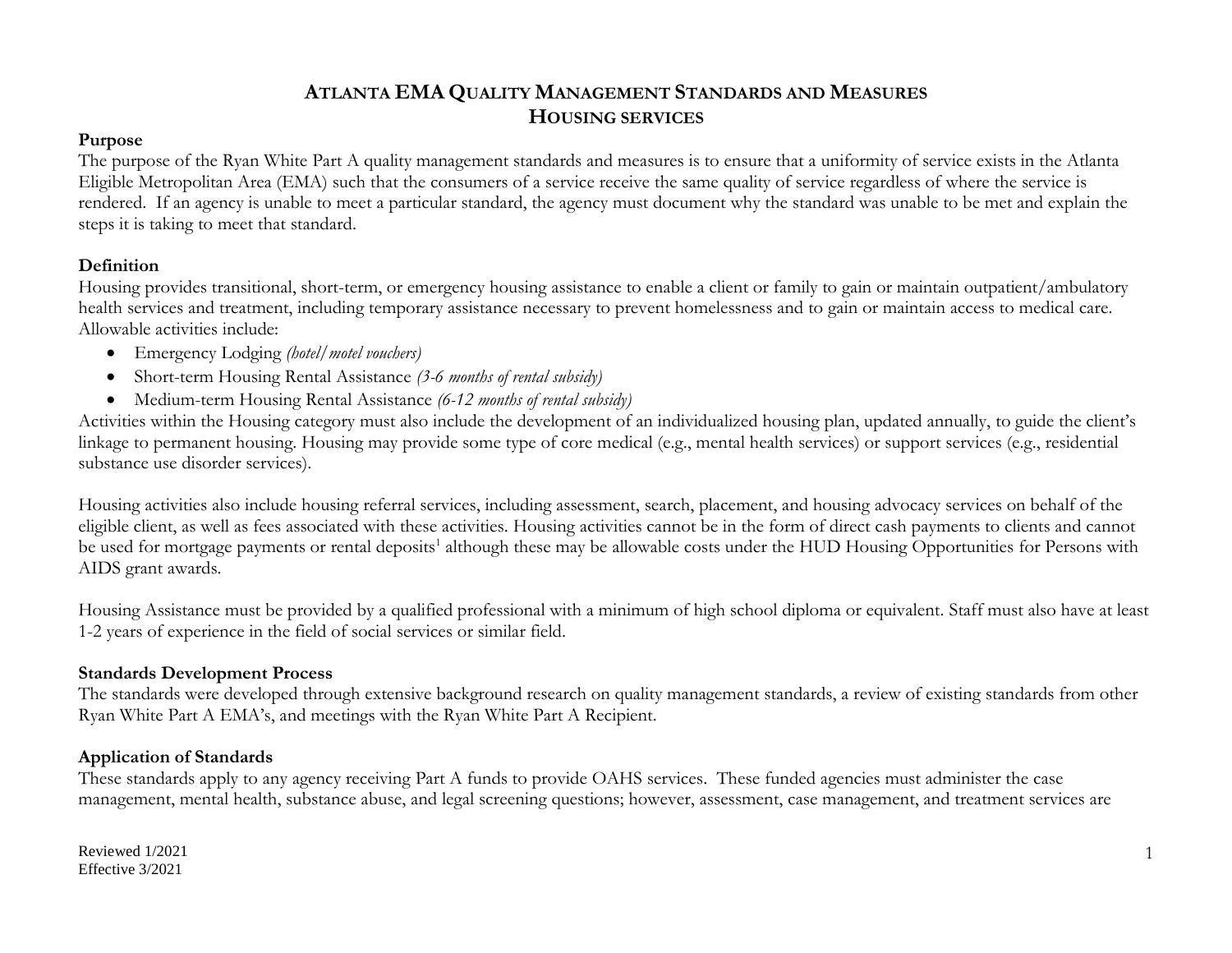### **Purpose**

The purpose of the Ryan White Part A quality management standards and measures is to ensure that a uniformity of service exists in the Atlanta Eligible Metropolitan Area (EMA) such that the consumers of a service receive the same quality of service regardless of where the service is rendered. If an agency is unable to meet a particular standard, the agency must document why the standard was unable to be met and explain the steps it is taking to meet that standard.

### **Definition**

Housing provides transitional, short-term, or emergency housing assistance to enable a client or family to gain or maintain outpatient/ambulatory health services and treatment, including temporary assistance necessary to prevent homelessness and to gain or maintain access to medical care. Allowable activities include:

- Emergency Lodging *(hotel/motel vouchers)*
- Short-term Housing Rental Assistance *(3-6 months of rental subsidy)*
- Medium-term Housing Rental Assistance *(6-12 months of rental subsidy)*

Activities within the Housing category must also include the development of an individualized housing plan, updated annually, to guide the client's linkage to permanent housing. Housing may provide some type of core medical (e.g., mental health services) or support services (e.g., residential substance use disorder services).

Housing activities also include housing referral services, including assessment, search, placement, and housing advocacy services on behalf of the eligible client, as well as fees associated with these activities. Housing activities cannot be in the form of direct cash payments to clients and cannot be used for mortgage payments or rental deposits<sup>1</sup> although these may be allowable costs under the HUD Housing Opportunities for Persons with AIDS grant awards.

Housing Assistance must be provided by a qualified professional with a minimum of high school diploma or equivalent. Staff must also have at least 1-2 years of experience in the field of social services or similar field.

## **Standards Development Process**

The standards were developed through extensive background research on quality management standards, a review of existing standards from other Ryan White Part A EMA's, and meetings with the Ryan White Part A Recipient.

## **Application of Standards**

These standards apply to any agency receiving Part A funds to provide OAHS services. These funded agencies must administer the case management, mental health, substance abuse, and legal screening questions; however, assessment, case management, and treatment services are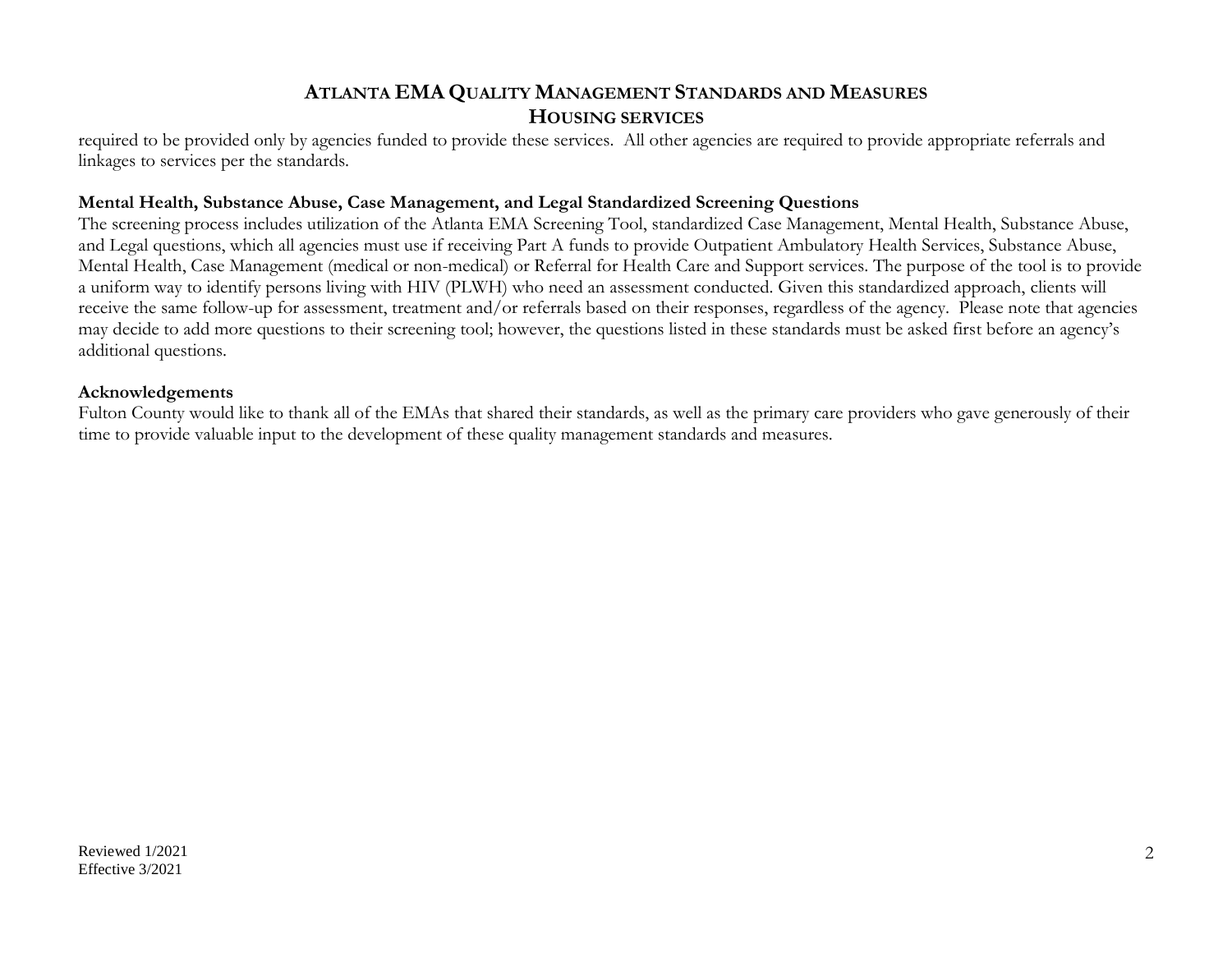required to be provided only by agencies funded to provide these services. All other agencies are required to provide appropriate referrals and linkages to services per the standards.

### **Mental Health, Substance Abuse, Case Management, and Legal Standardized Screening Questions**

The screening process includes utilization of the Atlanta EMA Screening Tool, standardized Case Management, Mental Health, Substance Abuse, and Legal questions, which all agencies must use if receiving Part A funds to provide Outpatient Ambulatory Health Services, Substance Abuse, Mental Health, Case Management (medical or non-medical) or Referral for Health Care and Support services. The purpose of the tool is to provide a uniform way to identify persons living with HIV (PLWH) who need an assessment conducted. Given this standardized approach, clients will receive the same follow-up for assessment, treatment and/or referrals based on their responses, regardless of the agency. Please note that agencies may decide to add more questions to their screening tool; however, the questions listed in these standards must be asked first before an agency's additional questions.

### **Acknowledgements**

Fulton County would like to thank all of the EMAs that shared their standards, as well as the primary care providers who gave generously of their time to provide valuable input to the development of these quality management standards and measures.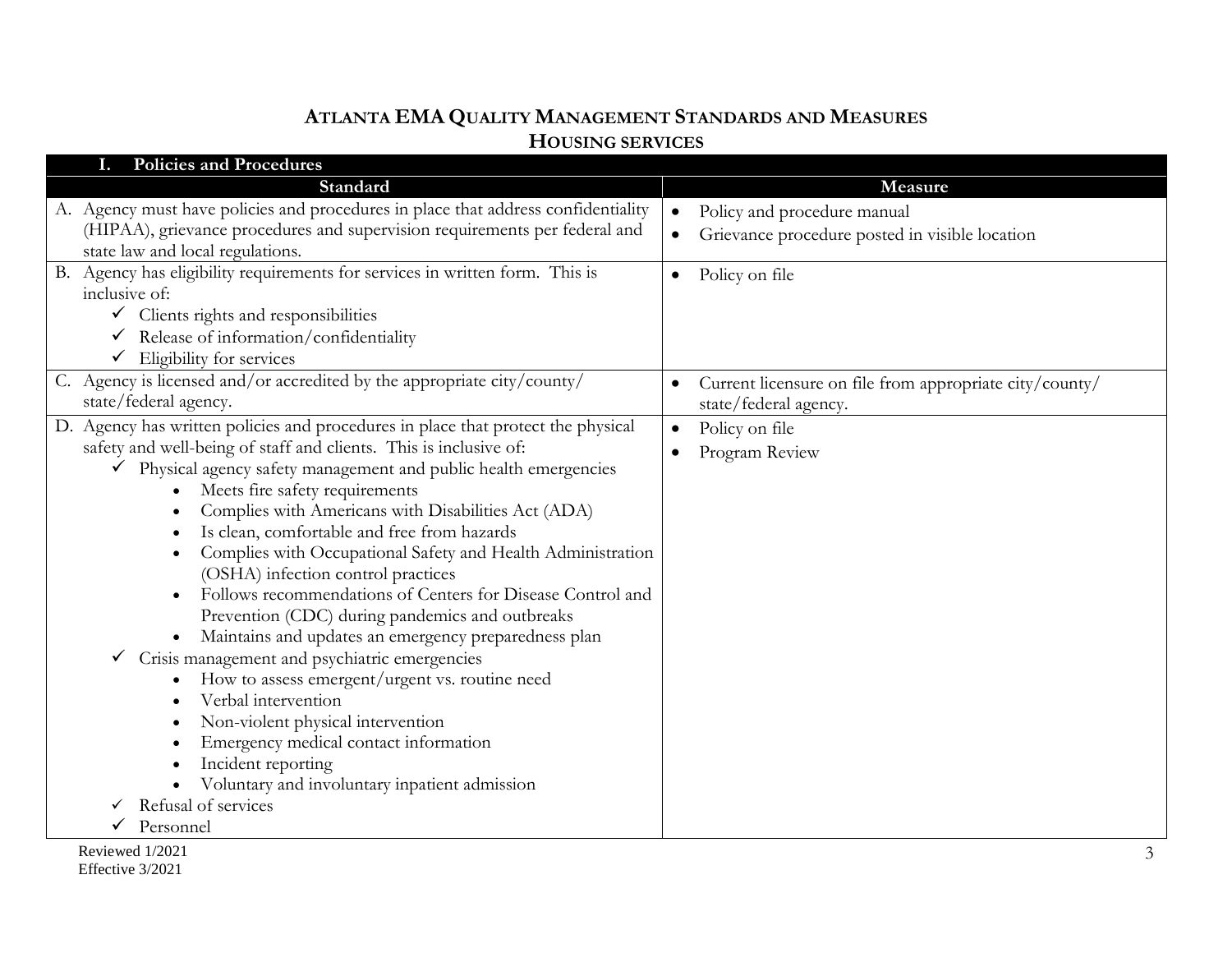| <b>Policies and Procedures</b>                                                                                                                                                                                                                                                                                                                                                                                                                                                                                                                                                                                                                                                                                                                                                                                                                                                                                                                                                    |                                                                                                         |
|-----------------------------------------------------------------------------------------------------------------------------------------------------------------------------------------------------------------------------------------------------------------------------------------------------------------------------------------------------------------------------------------------------------------------------------------------------------------------------------------------------------------------------------------------------------------------------------------------------------------------------------------------------------------------------------------------------------------------------------------------------------------------------------------------------------------------------------------------------------------------------------------------------------------------------------------------------------------------------------|---------------------------------------------------------------------------------------------------------|
| Standard                                                                                                                                                                                                                                                                                                                                                                                                                                                                                                                                                                                                                                                                                                                                                                                                                                                                                                                                                                          | Measure                                                                                                 |
| A. Agency must have policies and procedures in place that address confidentiality<br>(HIPAA), grievance procedures and supervision requirements per federal and<br>state law and local regulations.                                                                                                                                                                                                                                                                                                                                                                                                                                                                                                                                                                                                                                                                                                                                                                               | Policy and procedure manual<br>$\bullet$<br>Grievance procedure posted in visible location<br>$\bullet$ |
| B. Agency has eligibility requirements for services in written form. This is<br>inclusive of:<br>$\checkmark$ Clients rights and responsibilities<br>$\checkmark$ Release of information/confidentiality<br>$\checkmark$ Eligibility for services                                                                                                                                                                                                                                                                                                                                                                                                                                                                                                                                                                                                                                                                                                                                 | Policy on file<br>$\bullet$                                                                             |
| C. Agency is licensed and/or accredited by the appropriate city/county/<br>state/federal agency.                                                                                                                                                                                                                                                                                                                                                                                                                                                                                                                                                                                                                                                                                                                                                                                                                                                                                  | Current licensure on file from appropriate city/county/<br>state/federal agency.                        |
| D. Agency has written policies and procedures in place that protect the physical<br>safety and well-being of staff and clients. This is inclusive of:<br>Physical agency safety management and public health emergencies<br>$\checkmark$<br>Meets fire safety requirements<br>Complies with Americans with Disabilities Act (ADA)<br>Is clean, comfortable and free from hazards<br>Complies with Occupational Safety and Health Administration<br>(OSHA) infection control practices<br>Follows recommendations of Centers for Disease Control and<br>Prevention (CDC) during pandemics and outbreaks<br>Maintains and updates an emergency preparedness plan<br>Crisis management and psychiatric emergencies<br>How to assess emergent/urgent vs. routine need<br>Verbal intervention<br>Non-violent physical intervention<br>Emergency medical contact information<br>Incident reporting<br>Voluntary and involuntary inpatient admission<br>Refusal of services<br>Personnel | Policy on file<br>$\bullet$<br>Program Review                                                           |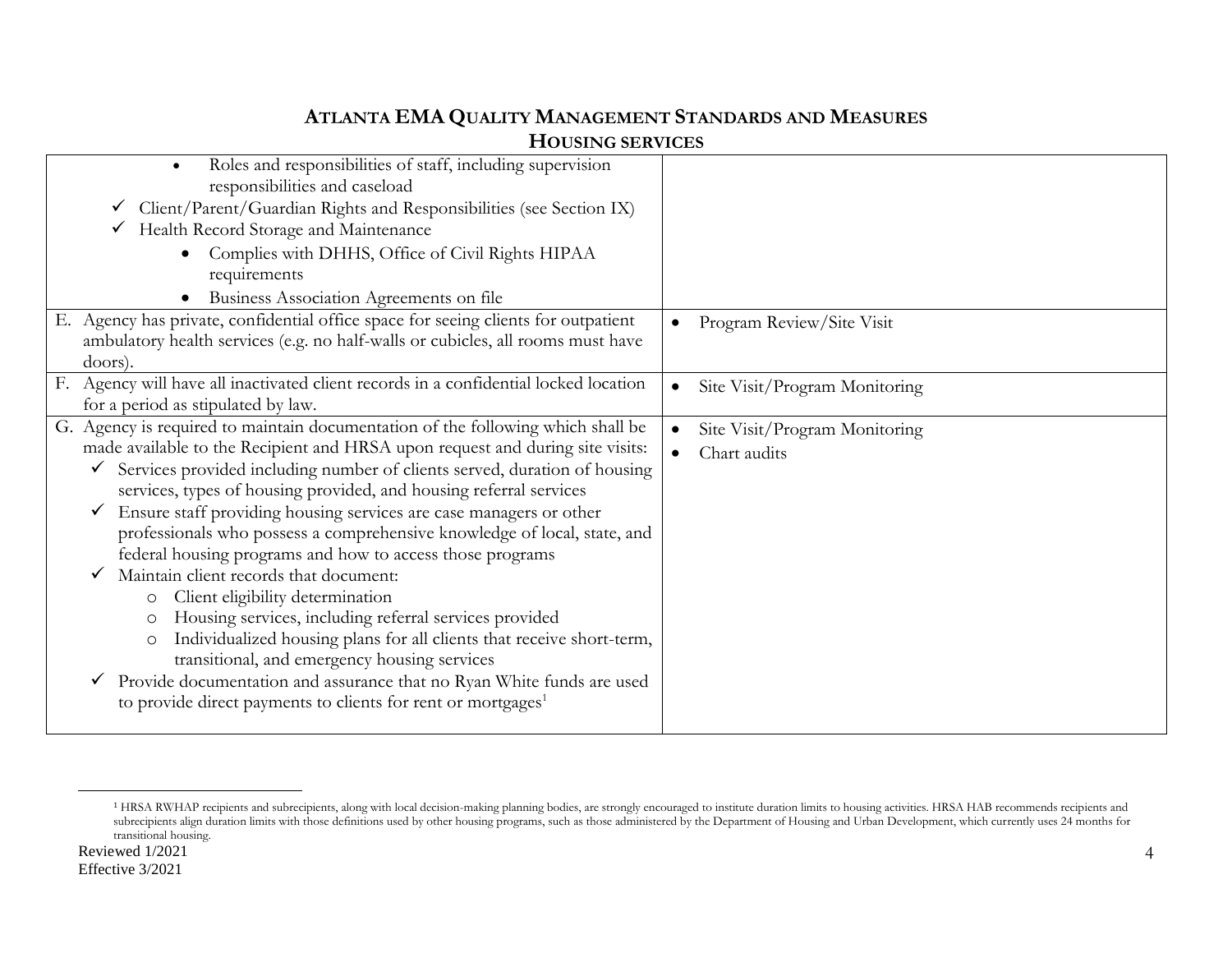| Roles and responsibilities of staff, including supervision<br>$\bullet$<br>responsibilities and caseload |                                            |
|----------------------------------------------------------------------------------------------------------|--------------------------------------------|
| $\checkmark$ Client/Parent/Guardian Rights and Responsibilities (see Section IX)                         |                                            |
| Health Record Storage and Maintenance<br>$\checkmark$                                                    |                                            |
|                                                                                                          |                                            |
| Complies with DHHS, Office of Civil Rights HIPAA                                                         |                                            |
| requirements                                                                                             |                                            |
| Business Association Agreements on file                                                                  |                                            |
| E. Agency has private, confidential office space for seeing clients for outpatient                       | Program Review/Site Visit                  |
| ambulatory health services (e.g. no half-walls or cubicles, all rooms must have                          |                                            |
| doors).                                                                                                  |                                            |
| F. Agency will have all inactivated client records in a confidential locked location                     | Site Visit/Program Monitoring<br>$\bullet$ |
| for a period as stipulated by law.                                                                       |                                            |
| G. Agency is required to maintain documentation of the following which shall be                          | Site Visit/Program Monitoring              |
| made available to the Recipient and HRSA upon request and during site visits:                            | Chart audits                               |
| Services provided including number of clients served, duration of housing                                |                                            |
| services, types of housing provided, and housing referral services                                       |                                            |
| Ensure staff providing housing services are case managers or other                                       |                                            |
| professionals who possess a comprehensive knowledge of local, state, and                                 |                                            |
| federal housing programs and how to access those programs                                                |                                            |
| Maintain client records that document:                                                                   |                                            |
| Client eligibility determination<br>$\circ$                                                              |                                            |
| Housing services, including referral services provided<br>O                                              |                                            |
| Individualized housing plans for all clients that receive short-term,<br>O                               |                                            |
| transitional, and emergency housing services                                                             |                                            |
| Provide documentation and assurance that no Ryan White funds are used                                    |                                            |
|                                                                                                          |                                            |
| to provide direct payments to clients for rent or mortgages <sup>1</sup>                                 |                                            |
|                                                                                                          |                                            |

 $\overline{a}$ 

<sup>1</sup> HRSA RWHAP recipients and subrecipients, along with local decision-making planning bodies, are strongly encouraged to institute duration limits to housing activities. HRSA HAB recommends recipients and subrecipients align duration limits with those definitions used by other housing programs, such as those administered by the Department of Housing and Urban Development, which currently uses 24 months for transitional housing.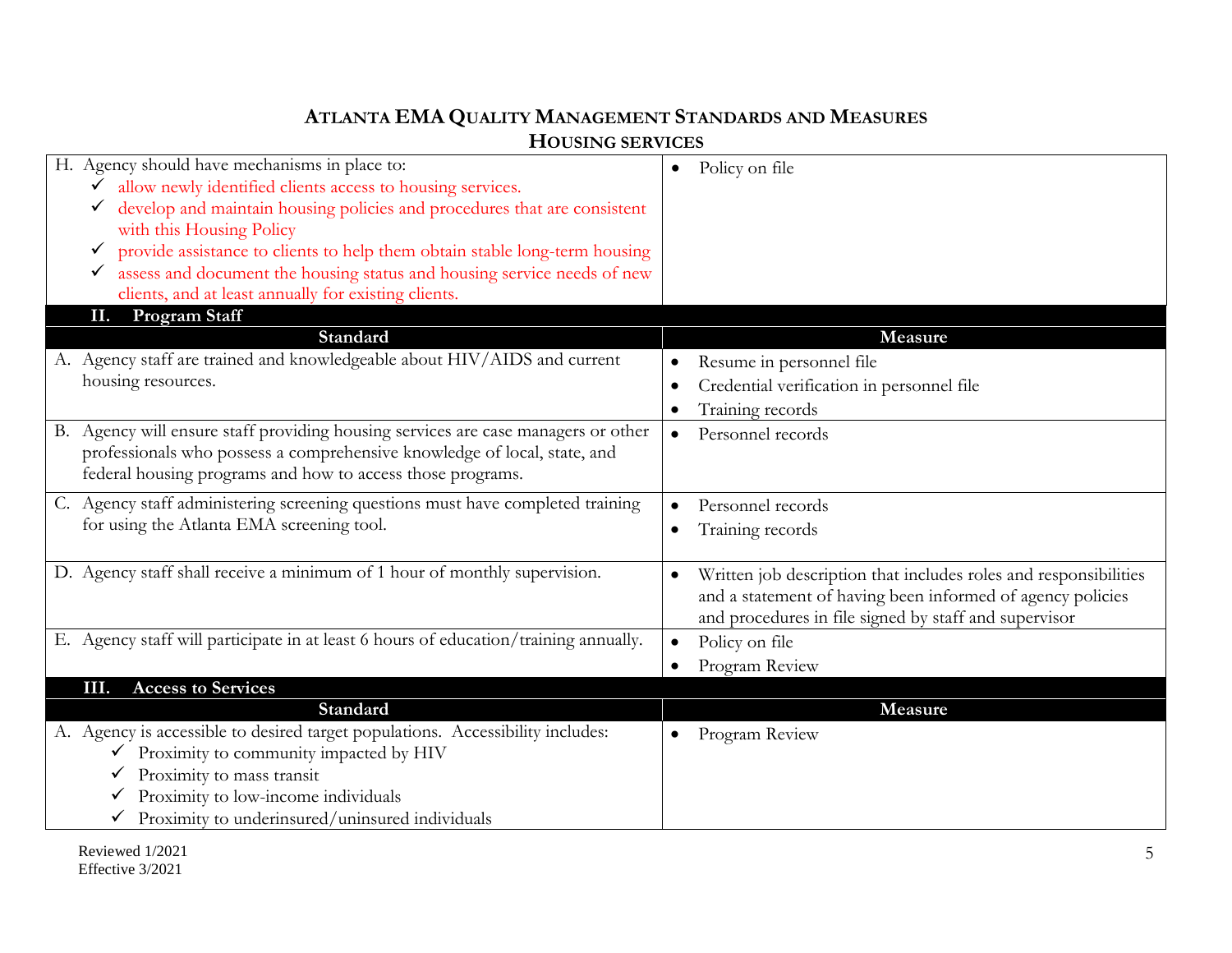| H. Agency should have mechanisms in place to:                                        | Policy on file                                                   |
|--------------------------------------------------------------------------------------|------------------------------------------------------------------|
| $\bar{\checkmark}$ allow newly identified clients access to housing services.        |                                                                  |
| └ develop and maintain housing policies and procedures that are consistent           |                                                                  |
| with this Housing Policy                                                             |                                                                  |
| provide assistance to clients to help them obtain stable long-term housing<br>✔      |                                                                  |
| assess and document the housing status and housing service needs of new              |                                                                  |
| clients, and at least annually for existing clients.                                 |                                                                  |
| <b>Program Staff</b><br>П.                                                           |                                                                  |
| Standard                                                                             | <b>Measure</b>                                                   |
| A. Agency staff are trained and knowledgeable about HIV/AIDS and current             | Resume in personnel file                                         |
| housing resources.                                                                   | Credential verification in personnel file                        |
|                                                                                      | Training records<br>$\bullet$                                    |
| Agency will ensure staff providing housing services are case managers or other<br>В. | Personnel records                                                |
| professionals who possess a comprehensive knowledge of local, state, and             | $\bullet$                                                        |
| federal housing programs and how to access those programs.                           |                                                                  |
|                                                                                      |                                                                  |
| C. Agency staff administering screening questions must have completed training       | Personnel records<br>$\bullet$                                   |
| for using the Atlanta EMA screening tool.                                            | Training records<br>$\bullet$                                    |
|                                                                                      |                                                                  |
| D. Agency staff shall receive a minimum of 1 hour of monthly supervision.            | Written job description that includes roles and responsibilities |
|                                                                                      | and a statement of having been informed of agency policies       |
|                                                                                      | and procedures in file signed by staff and supervisor            |
| E. Agency staff will participate in at least 6 hours of education/training annually. | Policy on file<br>$\bullet$                                      |
|                                                                                      | Program Review<br>$\bullet$                                      |
| <b>Access to Services</b><br>Ш.                                                      |                                                                  |
| Standard                                                                             | Measure                                                          |
| A. Agency is accessible to desired target populations. Accessibility includes:       | Program Review                                                   |
| Proximity to community impacted by HIV                                               |                                                                  |
| Proximity to mass transit                                                            |                                                                  |
| Proximity to low-income individuals                                                  |                                                                  |
| Proximity to underinsured/uninsured individuals                                      |                                                                  |
|                                                                                      |                                                                  |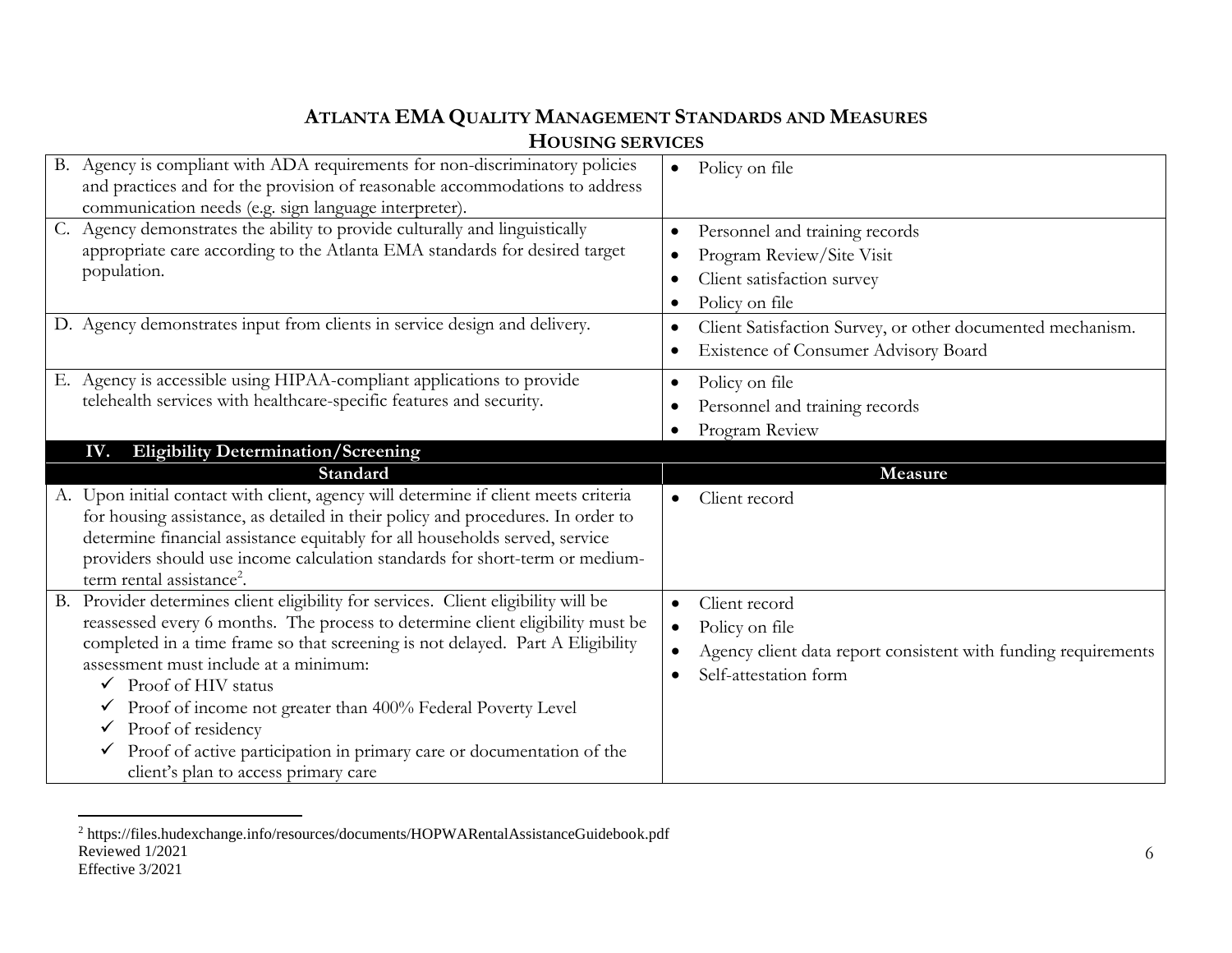| LIUUSIINU SEKVIUES                                                                                                                                                                                                                                                                                                                                                            |                                                                                                                                                                                        |
|-------------------------------------------------------------------------------------------------------------------------------------------------------------------------------------------------------------------------------------------------------------------------------------------------------------------------------------------------------------------------------|----------------------------------------------------------------------------------------------------------------------------------------------------------------------------------------|
| B. Agency is compliant with ADA requirements for non-discriminatory policies<br>and practices and for the provision of reasonable accommodations to address<br>communication needs (e.g. sign language interpreter).                                                                                                                                                          | Policy on file<br>$\bullet$                                                                                                                                                            |
| C. Agency demonstrates the ability to provide culturally and linguistically<br>appropriate care according to the Atlanta EMA standards for desired target<br>population.<br>D. Agency demonstrates input from clients in service design and delivery.                                                                                                                         | Personnel and training records<br>Program Review/Site Visit<br>Client satisfaction survey<br>Policy on file<br>$\bullet$<br>Client Satisfaction Survey, or other documented mechanism. |
|                                                                                                                                                                                                                                                                                                                                                                               | Existence of Consumer Advisory Board                                                                                                                                                   |
| E. Agency is accessible using HIPAA-compliant applications to provide<br>telehealth services with healthcare-specific features and security.                                                                                                                                                                                                                                  | Policy on file<br>$\bullet$<br>Personnel and training records<br>Program Review                                                                                                        |
|                                                                                                                                                                                                                                                                                                                                                                               |                                                                                                                                                                                        |
| IV.                                                                                                                                                                                                                                                                                                                                                                           |                                                                                                                                                                                        |
| <b>Eligibility Determination/Screening</b><br>Standard                                                                                                                                                                                                                                                                                                                        | Measure                                                                                                                                                                                |
| A. Upon initial contact with client, agency will determine if client meets criteria<br>for housing assistance, as detailed in their policy and procedures. In order to<br>determine financial assistance equitably for all households served, service<br>providers should use income calculation standards for short-term or medium-<br>term rental assistance <sup>2</sup> . | Client record<br>$\bullet$                                                                                                                                                             |

Reviewed 1/2021 Effective 3/2021  $\overline{a}$ <sup>2</sup> https://files.hudexchange.info/resources/documents/HOPWARentalAssistanceGuidebook.pdf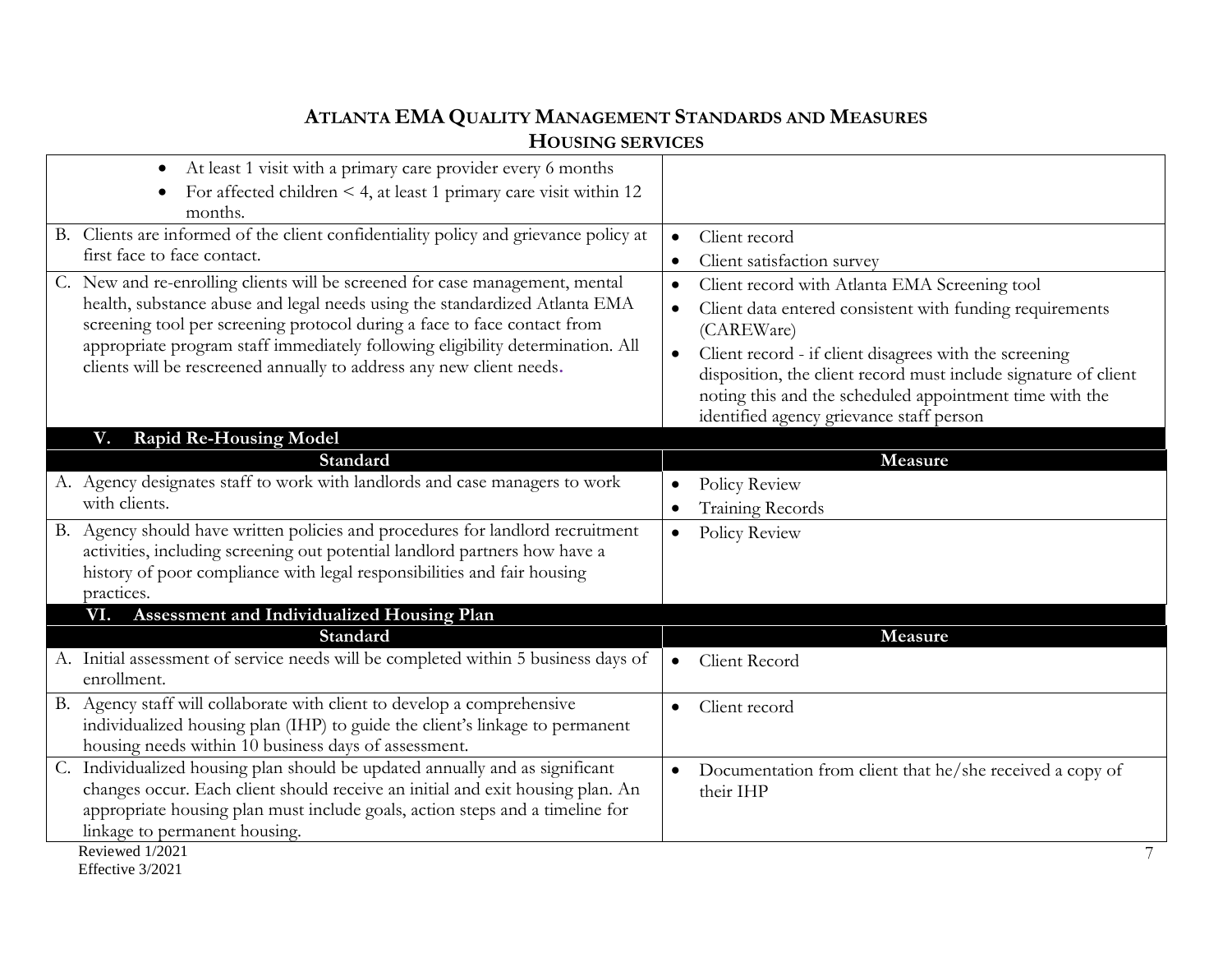| At least 1 visit with a primary care provider every 6 months<br>$\bullet$<br>For affected children $\leq 4$ , at least 1 primary care visit within 12                                                                                                                                                                                                                                            |                                                                                                                                                                        |
|--------------------------------------------------------------------------------------------------------------------------------------------------------------------------------------------------------------------------------------------------------------------------------------------------------------------------------------------------------------------------------------------------|------------------------------------------------------------------------------------------------------------------------------------------------------------------------|
| months.                                                                                                                                                                                                                                                                                                                                                                                          |                                                                                                                                                                        |
| B. Clients are informed of the client confidentiality policy and grievance policy at                                                                                                                                                                                                                                                                                                             | Client record<br>$\bullet$                                                                                                                                             |
| first face to face contact.                                                                                                                                                                                                                                                                                                                                                                      | Client satisfaction survey                                                                                                                                             |
| C. New and re-enrolling clients will be screened for case management, mental<br>health, substance abuse and legal needs using the standardized Atlanta EMA<br>screening tool per screening protocol during a face to face contact from<br>appropriate program staff immediately following eligibility determination. All<br>clients will be rescreened annually to address any new client needs. | Client record with Atlanta EMA Screening tool<br>$\bullet$                                                                                                             |
|                                                                                                                                                                                                                                                                                                                                                                                                  | Client data entered consistent with funding requirements<br>$\bullet$<br>(CAREWare)                                                                                    |
|                                                                                                                                                                                                                                                                                                                                                                                                  | Client record - if client disagrees with the screening<br>$\bullet$                                                                                                    |
|                                                                                                                                                                                                                                                                                                                                                                                                  | disposition, the client record must include signature of client<br>noting this and the scheduled appointment time with the<br>identified agency grievance staff person |
| <b>Rapid Re-Housing Model</b><br>V.                                                                                                                                                                                                                                                                                                                                                              |                                                                                                                                                                        |
| Standard                                                                                                                                                                                                                                                                                                                                                                                         | Measure                                                                                                                                                                |
| A. Agency designates staff to work with landlords and case managers to work                                                                                                                                                                                                                                                                                                                      | Policy Review                                                                                                                                                          |
| with clients.                                                                                                                                                                                                                                                                                                                                                                                    | <b>Training Records</b>                                                                                                                                                |
| B. Agency should have written policies and procedures for landlord recruitment<br>activities, including screening out potential landlord partners how have a<br>history of poor compliance with legal responsibilities and fair housing<br>practices.                                                                                                                                            | Policy Review<br>$\bullet$                                                                                                                                             |
| Assessment and Individualized Housing Plan<br>VI.                                                                                                                                                                                                                                                                                                                                                |                                                                                                                                                                        |
| Standard                                                                                                                                                                                                                                                                                                                                                                                         | Measure                                                                                                                                                                |
| A. Initial assessment of service needs will be completed within 5 business days of<br>enrollment.                                                                                                                                                                                                                                                                                                | Client Record<br>$\bullet$                                                                                                                                             |
| B. Agency staff will collaborate with client to develop a comprehensive<br>individualized housing plan (IHP) to guide the client's linkage to permanent<br>housing needs within 10 business days of assessment.                                                                                                                                                                                  | Client record<br>$\bullet$                                                                                                                                             |
| C. Individualized housing plan should be updated annually and as significant                                                                                                                                                                                                                                                                                                                     | Documentation from client that he/she received a copy of<br>$\bullet$                                                                                                  |
| changes occur. Each client should receive an initial and exit housing plan. An                                                                                                                                                                                                                                                                                                                   | their IHP                                                                                                                                                              |
| appropriate housing plan must include goals, action steps and a timeline for                                                                                                                                                                                                                                                                                                                     |                                                                                                                                                                        |
| linkage to permanent housing.                                                                                                                                                                                                                                                                                                                                                                    |                                                                                                                                                                        |
| Reviewed 1/2021<br>$\Gamma C \sim \Gamma \sim 2.001$                                                                                                                                                                                                                                                                                                                                             |                                                                                                                                                                        |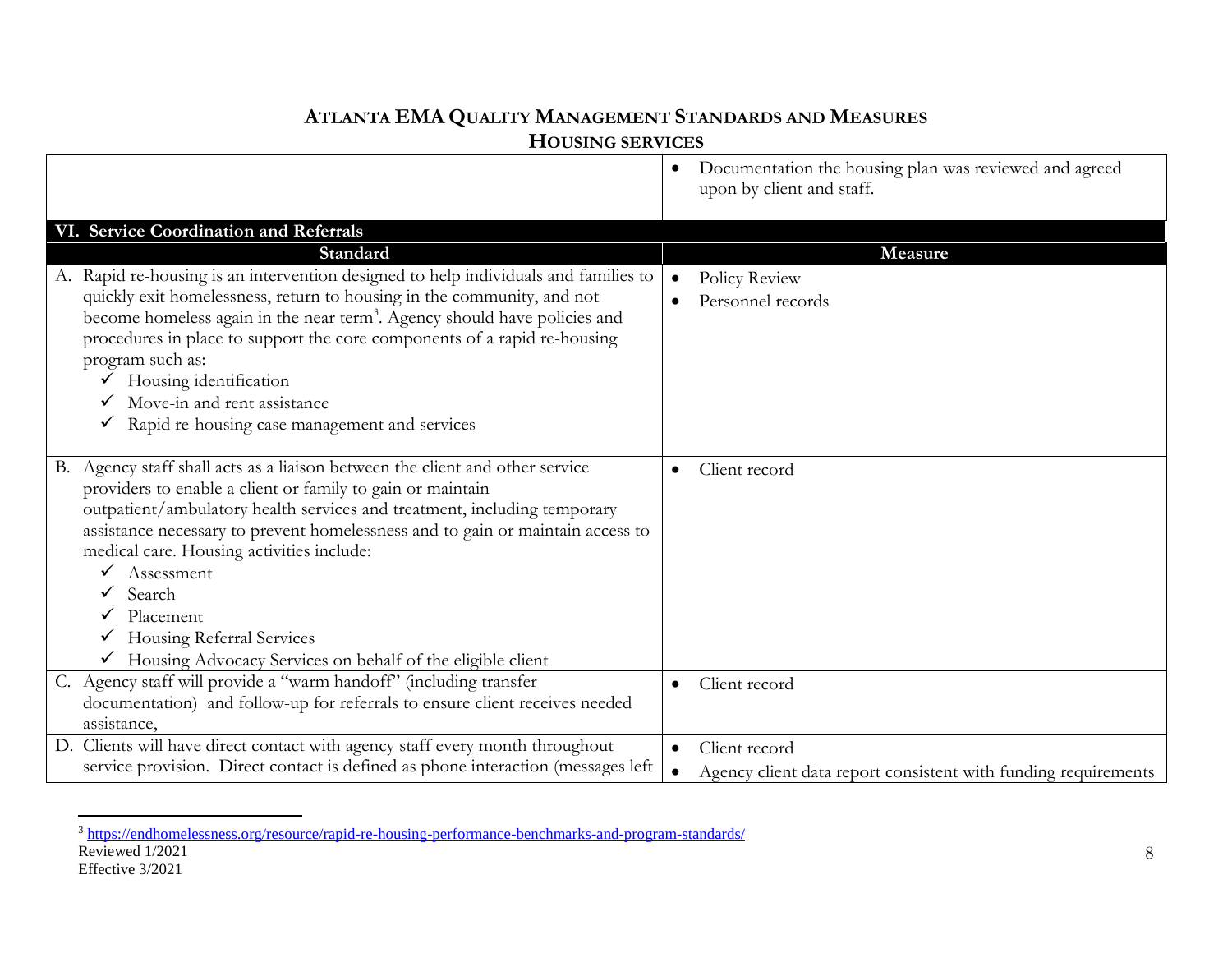|                                                                                       | Documentation the housing plan was reviewed and agreed<br>upon by client and staff. |
|---------------------------------------------------------------------------------------|-------------------------------------------------------------------------------------|
| VI. Service Coordination and Referrals                                                |                                                                                     |
| Standard                                                                              | Measure                                                                             |
| A. Rapid re-housing is an intervention designed to help individuals and families to   | Policy Review<br>$\bullet$                                                          |
| quickly exit homelessness, return to housing in the community, and not                | Personnel records                                                                   |
| become homeless again in the near term <sup>3</sup> . Agency should have policies and |                                                                                     |
| procedures in place to support the core components of a rapid re-housing              |                                                                                     |
| program such as:                                                                      |                                                                                     |
| Housing identification                                                                |                                                                                     |
| Move-in and rent assistance                                                           |                                                                                     |
| Rapid re-housing case management and services<br>✓                                    |                                                                                     |
| B. Agency staff shall acts as a liaison between the client and other service          |                                                                                     |
| providers to enable a client or family to gain or maintain                            | Client record                                                                       |
| outpatient/ambulatory health services and treatment, including temporary              |                                                                                     |
| assistance necessary to prevent homelessness and to gain or maintain access to        |                                                                                     |
| medical care. Housing activities include:                                             |                                                                                     |
| Assessment                                                                            |                                                                                     |
| Search<br>$\checkmark$                                                                |                                                                                     |
| Placement                                                                             |                                                                                     |
| Housing Referral Services                                                             |                                                                                     |
| Housing Advocacy Services on behalf of the eligible client                            |                                                                                     |
| C. Agency staff will provide a "warm handoff" (including transfer                     | Client record<br>$\bullet$                                                          |
| documentation) and follow-up for referrals to ensure client receives needed           |                                                                                     |
| assistance,                                                                           |                                                                                     |
| D. Clients will have direct contact with agency staff every month throughout          | Client record                                                                       |
| service provision. Direct contact is defined as phone interaction (messages left      | Agency client data report consistent with funding requirements<br>$\bullet$         |

Reviewed 1/2021 Effective 3/2021  $\overline{a}$ <sup>3</sup> <https://endhomelessness.org/resource/rapid-re-housing-performance-benchmarks-and-program-standards/>